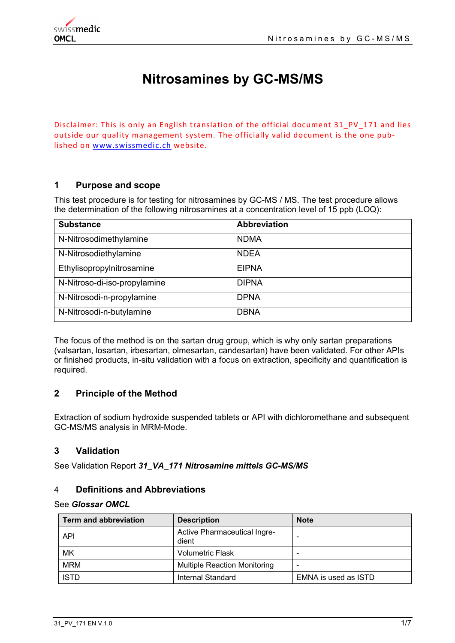# **Nitrosamines by GC-MS/MS**

Disclaimer: This is only an English translation of the official document 31 PV 171 and lies outside our quality management system. The officially valid document is the one pub‐ lished on www.swissmedic.ch website.

# **1 Purpose and scope**

This test procedure is for testing for nitrosamines by GC-MS / MS. The test procedure allows the determination of the following nitrosamines at a concentration level of 15 ppb (LOQ):

| <b>Substance</b>             | <b>Abbreviation</b> |
|------------------------------|---------------------|
| N-Nitrosodimethylamine       | <b>NDMA</b>         |
| N-Nitrosodiethylamine        | <b>NDEA</b>         |
| Ethylisopropylnitrosamine    | <b>EIPNA</b>        |
| N-Nitroso-di-iso-propylamine | <b>DIPNA</b>        |
| N-Nitrosodi-n-propylamine    | <b>DPNA</b>         |
| N-Nitrosodi-n-butylamine     | <b>DBNA</b>         |

The focus of the method is on the sartan drug group, which is why only sartan preparations (valsartan, losartan, irbesartan, olmesartan, candesartan) have been validated. For other APIs or finished products, in-situ validation with a focus on extraction, specificity and quantification is required.

# **2 Principle of the Method**

Extraction of sodium hydroxide suspended tablets or API with dichloromethane and subsequent GC-MS/MS analysis in MRM-Mode.

# **3 Validation**

See Validation Report *31\_VA\_171 Nitrosamine mittels GC-MS/MS*

## 4 **Definitions and Abbreviations**

#### See *Glossar OMCL*

| <b>Term and abbreviation</b> | <b>Description</b>                    | <b>Note</b>              |
|------------------------------|---------------------------------------|--------------------------|
| <b>API</b>                   | Active Pharmaceutical Ingre-<br>dient | -                        |
| МK                           | <b>Volumetric Flask</b>               | -                        |
| <b>MRM</b>                   | <b>Multiple Reaction Monitoring</b>   | $\overline{\phantom{0}}$ |
| <b>ISTD</b>                  | Internal Standard                     | EMNA is used as ISTD     |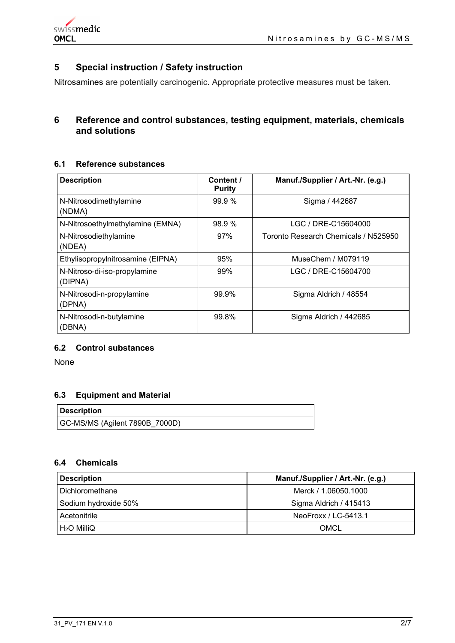

# **5 Special instruction / Safety instruction**

Nitrosamines are potentially carcinogenic. Appropriate protective measures must be taken.

# **6 Reference and control substances, testing equipment, materials, chemicals and solutions**

# **6.1 Reference substances**

| <b>Description</b>                      | Content /<br><b>Purity</b> | Manuf./Supplier / Art.-Nr. (e.g.)    |
|-----------------------------------------|----------------------------|--------------------------------------|
| N-Nitrosodimethylamine<br>(NDMA)        | 99.9%                      | Sigma / 442687                       |
| N-Nitrosoethylmethylamine (EMNA)        | 98.9 %                     | LGC / DRE-C15604000                  |
| N-Nitrosodiethylamine<br>(NDEA)         | 97%                        | Toronto Research Chemicals / N525950 |
| Ethylisopropylnitrosamine (EIPNA)       | 95%                        | MuseChem / M079119                   |
| N-Nitroso-di-iso-propylamine<br>(DIPNA) | 99%                        | LGC / DRE-C15604700                  |
| N-Nitrosodi-n-propylamine<br>(DPNA)     | 99.9%                      | Sigma Aldrich / 48554                |
| N-Nitrosodi-n-butylamine<br>(DBNA)      | 99.8%                      | Sigma Aldrich / 442685               |

#### **6.2 Control substances**

None

## **6.3 Equipment and Material**

| Description                    |  |
|--------------------------------|--|
| GC-MS/MS (Agilent 7890B_7000D) |  |

#### **6.4 Chemicals**

| <b>Description</b>   | Manuf./Supplier / Art.-Nr. (e.g.) |
|----------------------|-----------------------------------|
| Dichloromethane      | Merck / 1.06050.1000              |
| Sodium hydroxide 50% | Sigma Aldrich / 415413            |
| Acetonitrile         | NeoFroxx / LC-5413.1              |
| $H2O$ MilliQ         | OMCL                              |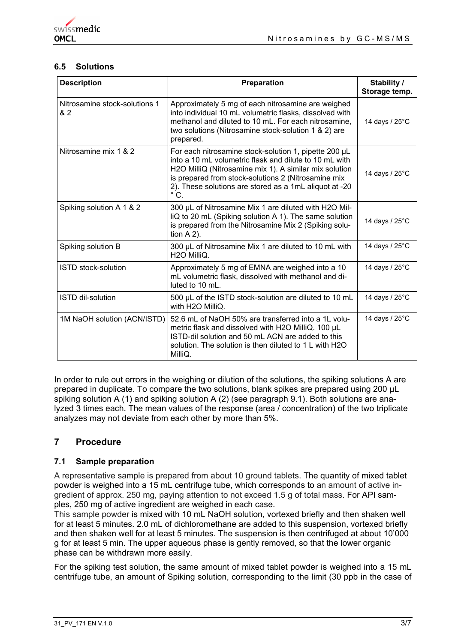# **6.5 Solutions**

| <b>Description</b>                   | <b>Preparation</b>                                                                                                                                                                                                                                                                                          | Stability /<br>Storage temp. |
|--------------------------------------|-------------------------------------------------------------------------------------------------------------------------------------------------------------------------------------------------------------------------------------------------------------------------------------------------------------|------------------------------|
| Nitrosamine stock-solutions 1<br>& 2 | Approximately 5 mg of each nitrosamine are weighed<br>into individual 10 mL volumetric flasks, dissolved with<br>methanol and diluted to 10 mL. For each nitrosamine,<br>two solutions (Nitrosamine stock-solution 1 & 2) are<br>prepared.                                                                  | 14 days / $25^{\circ}$ C     |
| Nitrosamine mix 1 & 2                | For each nitrosamine stock-solution 1, pipette 200 µL<br>into a 10 mL volumetric flask and dilute to 10 mL with<br>H2O MilliQ (Nitrosamine mix 1). A similar mix solution<br>is prepared from stock-solutions 2 (Nitrosamine mix<br>2). These solutions are stored as a 1mL aliquot at -20<br>$^{\circ}$ C. | 14 days / 25°C               |
| Spiking solution A 1 & 2             | 300 µL of Nitrosamine Mix 1 are diluted with H2O Mil-<br>liQ to 20 mL (Spiking solution A 1). The same solution<br>is prepared from the Nitrosamine Mix 2 (Spiking solu-<br>tion $A$ 2).                                                                                                                    | 14 days / 25°C               |
| Spiking solution B                   | 300 µL of Nitrosamine Mix 1 are diluted to 10 mL with<br>H <sub>2</sub> O MilliQ.                                                                                                                                                                                                                           | 14 days / 25°C               |
| <b>ISTD</b> stock-solution           | Approximately 5 mg of EMNA are weighed into a 10<br>mL volumetric flask, dissolved with methanol and di-<br>luted to 10 mL.                                                                                                                                                                                 | 14 days / 25°C               |
| <b>ISTD dil-solution</b>             | 500 µL of the ISTD stock-solution are diluted to 10 mL<br>with H2O MilliQ.                                                                                                                                                                                                                                  | 14 days / 25°C               |
| 1M NaOH solution (ACN/ISTD)          | 52.6 mL of NaOH 50% are transferred into a 1L volu-<br>metric flask and dissolved with H2O MilliQ. 100 µL<br>ISTD-dil solution and 50 mL ACN are added to this<br>solution. The solution is then diluted to 1 L with H2O<br>MilliQ.                                                                         | 14 days / 25°C               |

In order to rule out errors in the weighing or dilution of the solutions, the spiking solutions A are prepared in duplicate. To compare the two solutions, blank spikes are prepared using 200 μL spiking solution A (1) and spiking solution A (2) (see paragraph 9.1). Both solutions are analyzed 3 times each. The mean values of the response (area / concentration) of the two triplicate analyzes may not deviate from each other by more than 5%.

# **7 Procedure**

## **7.1 Sample preparation**

A representative sample is prepared from about 10 ground tablets. The quantity of mixed tablet powder is weighed into a 15 mL centrifuge tube, which corresponds to an amount of active ingredient of approx. 250 mg, paying attention to not exceed 1.5 g of total mass. For API samples, 250 mg of active ingredient are weighed in each case.

This sample powder is mixed with 10 mL NaOH solution, vortexed briefly and then shaken well for at least 5 minutes. 2.0 mL of dichloromethane are added to this suspension, vortexed briefly and then shaken well for at least 5 minutes. The suspension is then centrifuged at about 10'000 g for at least 5 min. The upper aqueous phase is gently removed, so that the lower organic phase can be withdrawn more easily.

For the spiking test solution, the same amount of mixed tablet powder is weighed into a 15 mL centrifuge tube, an amount of Spiking solution, corresponding to the limit (30 ppb in the case of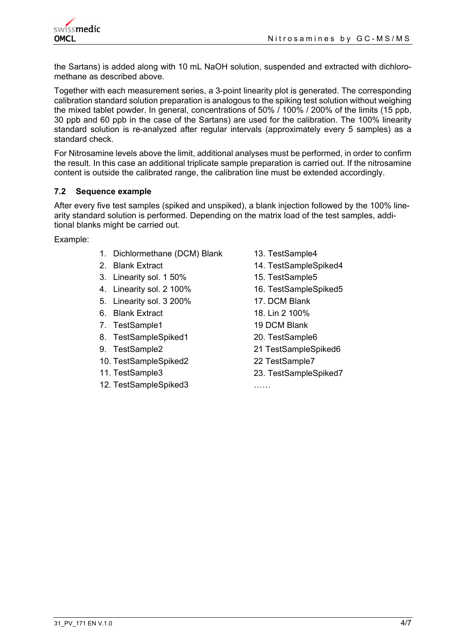the Sartans) is added along with 10 mL NaOH solution, suspended and extracted with dichloromethane as described above.

Together with each measurement series, a 3-point linearity plot is generated. The corresponding calibration standard solution preparation is analogous to the spiking test solution without weighing the mixed tablet powder. In general, concentrations of 50% / 100% / 200% of the limits (15 ppb, 30 ppb and 60 ppb in the case of the Sartans) are used for the calibration. The 100% linearity standard solution is re-analyzed after regular intervals (approximately every 5 samples) as a standard check.

For Nitrosamine levels above the limit, additional analyses must be performed, in order to confirm the result. In this case an additional triplicate sample preparation is carried out. If the nitrosamine content is outside the calibrated range, the calibration line must be extended accordingly.

#### **7.2 Sequence example**

After every five test samples (spiked and unspiked), a blank injection followed by the 100% linearity standard solution is performed. Depending on the matrix load of the test samples, additional blanks might be carried out.

Example:

- 1. Dichlormethane (DCM) Blank 13. TestSample4
- 
- 3. Linearity sol. 1 50% 15. TestSample5
- 4. Linearity sol. 2 100% 16. TestSampleSpiked5
- 5. Linearity sol. 3 200% 17. DCM Blank
- 6. Blank Extract 18. Lin 2 100%
- 7. TestSample1 19 DCM Blank
- 8. TestSampleSpiked1 20. TestSample6
- 
- 10. TestSampleSpiked2 22 TestSample7
- 
- 12. TestSampleSpiked3 ……
- 
- 2. Blank Extract 14. TestSampleSpiked4
	-
	-
	-
	-
	-
	-
- 9. TestSample2 21 TestSampleSpiked6
	-
- 11. TestSample3 23. TestSampleSpiked7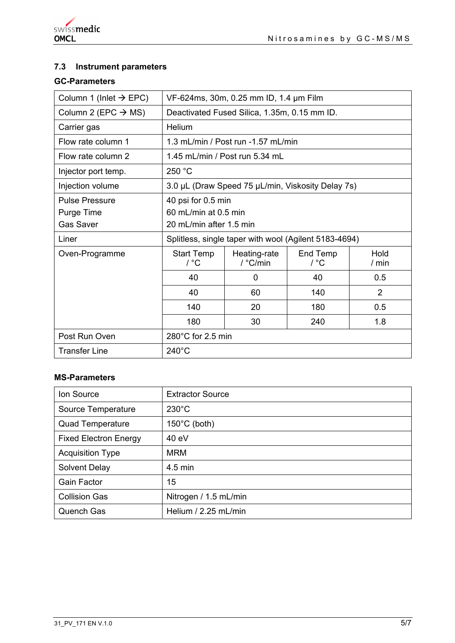# **7.3 Instrument parameters**

# **GC-Parameters**

| Column 1 (Inlet $\rightarrow$ EPC)                      | VF-624ms, 30m, 0.25 mm ID, 1.4 µm Film                                |                                    |                  |                 |  |
|---------------------------------------------------------|-----------------------------------------------------------------------|------------------------------------|------------------|-----------------|--|
| Column 2 (EPC $\rightarrow$ MS)                         | Deactivated Fused Silica, 1.35m, 0.15 mm ID.                          |                                    |                  |                 |  |
| Carrier gas                                             | Helium                                                                |                                    |                  |                 |  |
| Flow rate column 1                                      |                                                                       | 1.3 mL/min / Post run -1.57 mL/min |                  |                 |  |
| Flow rate column 2                                      |                                                                       | 1.45 mL/min / Post run 5.34 mL     |                  |                 |  |
| Injector port temp.                                     | 250 °C                                                                |                                    |                  |                 |  |
| Injection volume                                        | 3.0 µL (Draw Speed 75 µL/min, Viskosity Delay 7s)                     |                                    |                  |                 |  |
| <b>Pulse Pressure</b><br>Purge Time<br><b>Gas Saver</b> | 40 psi for 0.5 min<br>60 mL/min at 0.5 min<br>20 mL/min after 1.5 min |                                    |                  |                 |  |
| Liner                                                   | Splitless, single taper with wool (Agilent 5183-4694)                 |                                    |                  |                 |  |
| Oven-Programme                                          | <b>Start Temp</b><br>$/$ °C                                           | Heating-rate<br>/ °C/min           | End Temp<br>/ °C | Hold<br>$/$ min |  |
|                                                         | 40                                                                    | 0                                  | 40               | 0.5             |  |
|                                                         | 40                                                                    | 60                                 | 140              | 2               |  |
|                                                         | 140                                                                   | 20                                 | 180              | 0.5             |  |
|                                                         | 180                                                                   | 30                                 | 240              | 1.8             |  |
| Post Run Oven                                           | 280°C for 2.5 min                                                     |                                    |                  |                 |  |
| <b>Transfer Line</b>                                    | $240^{\circ}$ C                                                       |                                    |                  |                 |  |

# **MS-Parameters**

| Ion Source                   | <b>Extractor Source</b> |
|------------------------------|-------------------------|
| Source Temperature           | $230^{\circ}$ C         |
| <b>Quad Temperature</b>      | $150^{\circ}$ C (both)  |
| <b>Fixed Electron Energy</b> | 40 eV                   |
| <b>Acquisition Type</b>      | <b>MRM</b>              |
| Solvent Delay                | $4.5$ min               |
| <b>Gain Factor</b>           | 15                      |
| <b>Collision Gas</b>         | Nitrogen / 1.5 mL/min   |
| <b>Quench Gas</b>            | Helium / 2.25 mL/min    |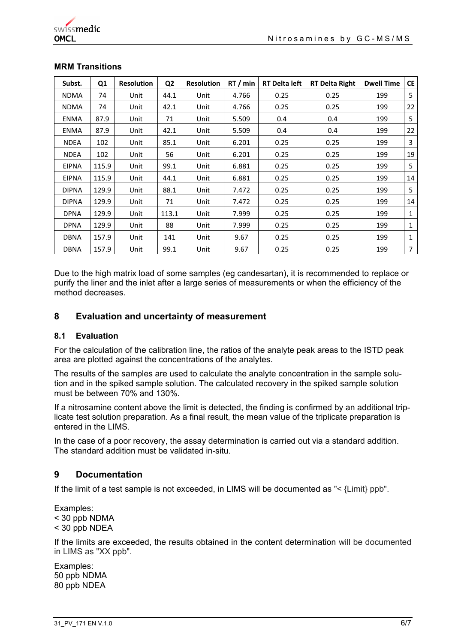| Subst.       | Q1    | <b>Resolution</b> | Q <sub>2</sub> | <b>Resolution</b> | RT/min | <b>RT Delta left</b> | <b>RT Delta Right</b> | <b>Dwell Time</b> | <b>CE</b> |
|--------------|-------|-------------------|----------------|-------------------|--------|----------------------|-----------------------|-------------------|-----------|
| <b>NDMA</b>  | 74    | Unit              | 44.1           | Unit              | 4.766  | 0.25                 | 0.25                  | 199               | 5         |
| <b>NDMA</b>  | 74    | Unit              | 42.1           | Unit              | 4.766  | 0.25                 | 0.25                  | 199               | 22        |
| <b>ENMA</b>  | 87.9  | Unit              | 71             | Unit              | 5.509  | 0.4                  | 0.4                   | 199               | 5         |
| <b>ENMA</b>  | 87.9  | Unit              | 42.1           | Unit              | 5.509  | 0.4                  | 0.4                   | 199               | 22        |
| <b>NDEA</b>  | 102   | Unit              | 85.1           | Unit              | 6.201  | 0.25                 | 0.25                  | 199               | 3         |
| <b>NDEA</b>  | 102   | Unit              | 56             | Unit              | 6.201  | 0.25                 | 0.25                  | 199               | 19        |
| <b>EIPNA</b> | 115.9 | Unit              | 99.1           | Unit              | 6.881  | 0.25                 | 0.25                  | 199               | 5         |
| <b>EIPNA</b> | 115.9 | Unit              | 44.1           | Unit              | 6.881  | 0.25                 | 0.25                  | 199               | 14        |
| <b>DIPNA</b> | 129.9 | Unit              | 88.1           | Unit              | 7.472  | 0.25                 | 0.25                  | 199               | 5         |
| <b>DIPNA</b> | 129.9 | Unit              | 71             | Unit              | 7.472  | 0.25                 | 0.25                  | 199               | 14        |
| <b>DPNA</b>  | 129.9 | Unit              | 113.1          | Unit              | 7.999  | 0.25                 | 0.25                  | 199               | 1         |
| <b>DPNA</b>  | 129.9 | Unit              | 88             | Unit              | 7.999  | 0.25                 | 0.25                  | 199               | 1         |
| <b>DBNA</b>  | 157.9 | Unit              | 141            | Unit              | 9.67   | 0.25                 | 0.25                  | 199               | 1         |
| <b>DBNA</b>  | 157.9 | Unit              | 99.1           | Unit              | 9.67   | 0.25                 | 0.25                  | 199               | 7         |

#### **MRM Transitions**

Due to the high matrix load of some samples (eg candesartan), it is recommended to replace or purify the liner and the inlet after a large series of measurements or when the efficiency of the method decreases

#### **8 Evaluation and uncertainty of measurement**

#### **8.1 Evaluation**

For the calculation of the calibration line, the ratios of the analyte peak areas to the ISTD peak area are plotted against the concentrations of the analytes.

The results of the samples are used to calculate the analyte concentration in the sample solution and in the spiked sample solution. The calculated recovery in the spiked sample solution must be between 70% and 130%.

If a nitrosamine content above the limit is detected, the finding is confirmed by an additional triplicate test solution preparation. As a final result, the mean value of the triplicate preparation is entered in the LIMS.

In the case of a poor recovery, the assay determination is carried out via a standard addition. The standard addition must be validated in-situ.

## **9 Documentation**

If the limit of a test sample is not exceeded, in LIMS will be documented as "< {Limit} ppb".

Examples: < 30 ppb NDMA < 30 ppb NDEA

If the limits are exceeded, the results obtained in the content determination will be documented in LIMS as "XX ppb".

Examples: 50 ppb NDMA 80 ppb NDEA